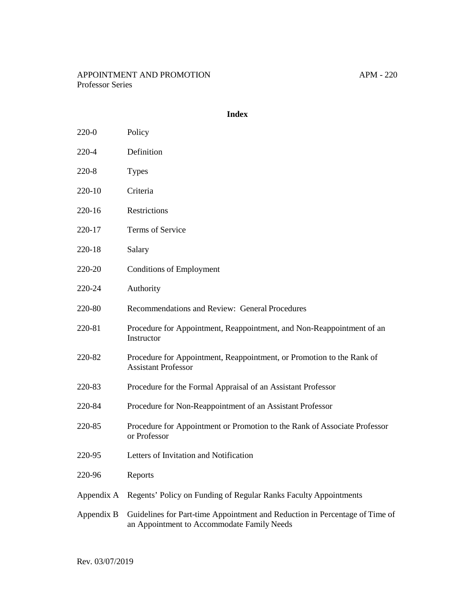220-0 Policy

### **Index**

| 220-4      | Definition                                                                                                                |
|------------|---------------------------------------------------------------------------------------------------------------------------|
| 220-8      | <b>Types</b>                                                                                                              |
| 220-10     | Criteria                                                                                                                  |
| 220-16     | Restrictions                                                                                                              |
| 220-17     | <b>Terms of Service</b>                                                                                                   |
| 220-18     | Salary                                                                                                                    |
| 220-20     | <b>Conditions of Employment</b>                                                                                           |
| 220-24     | Authority                                                                                                                 |
| 220-80     | Recommendations and Review: General Procedures                                                                            |
| 220-81     | Procedure for Appointment, Reappointment, and Non-Reappointment of an<br>Instructor                                       |
| 220-82     | Procedure for Appointment, Reappointment, or Promotion to the Rank of<br><b>Assistant Professor</b>                       |
| 220-83     | Procedure for the Formal Appraisal of an Assistant Professor                                                              |
| 220-84     | Procedure for Non-Reappointment of an Assistant Professor                                                                 |
| 220-85     | Procedure for Appointment or Promotion to the Rank of Associate Professor<br>or Professor                                 |
| 220-95     | Letters of Invitation and Notification                                                                                    |
| 220-96     | Reports                                                                                                                   |
| Appendix A | Regents' Policy on Funding of Regular Ranks Faculty Appointments                                                          |
| Appendix B | Guidelines for Part-time Appointment and Reduction in Percentage of Time of<br>an Appointment to Accommodate Family Needs |

Rev. 03/07/2019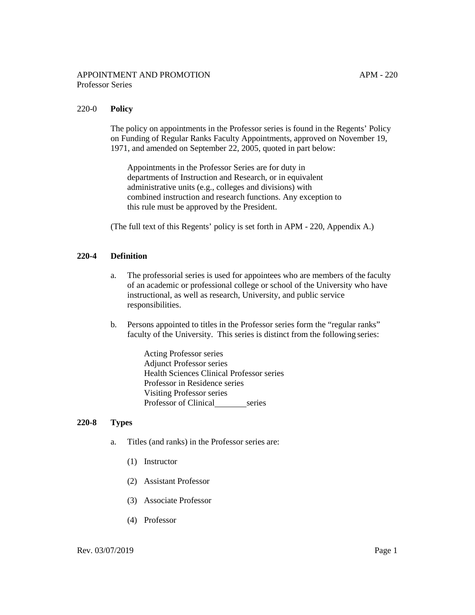### 220-0 **Policy**

The policy on appointments in the Professor series is found in the Regents' Policy on Funding of Regular Ranks Faculty Appointments, approved on November 19, 1971, and amended on September 22, 2005, quoted in part below:

Appointments in the Professor Series are for duty in departments of Instruction and Research, or in equivalent administrative units (e.g., colleges and divisions) with combined instruction and research functions. Any exception to this rule must be approved by the President.

(The full text of this Regents' policy is set forth in APM - 220, Appendix A.)

## **220-4 Definition**

- a. The professorial series is used for appointees who are members of the faculty of an academic or professional college or school of the University who have instructional, as well as research, University, and public service responsibilities.
- b. Persons appointed to titles in the Professor series form the "regular ranks" faculty of the University. This series is distinct from the following series:

Acting Professor series Adjunct Professor series Health Sciences Clinical Professor series Professor in Residence series Visiting Professor series Professor of Clinical series

### **220-8 Types**

- a. Titles (and ranks) in the Professor series are:
	- (1) Instructor
	- (2) Assistant Professor
	- (3) Associate Professor
	- (4) Professor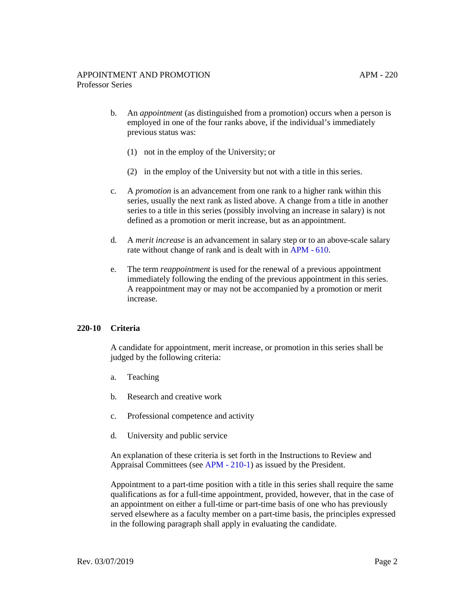- b. An *appointment* (as distinguished from a promotion) occurs when a person is employed in one of the four ranks above, if the individual's immediately previous status was:
	- (1) not in the employ of the University; or
	- (2) in the employ of the University but not with a title in this series.
- c. A *promotion* is an advancement from one rank to a higher rank within this series, usually the next rank as listed above. A change from a title in another series to a title in this series (possibly involving an increase in salary) is not defined as a promotion or merit increase, but as an appointment.
- d. A *merit increase* is an advancement in salary step or to an above-scale salary rate without change of rank and is dealt with in [APM - 610.](http://www.ucop.edu/academic-personnel-programs/_files/apm/apm-610.pdf)
- e. The term *reappointment* is used for the renewal of a previous appointment immediately following the ending of the previous appointment in this series. A reappointment may or may not be accompanied by a promotion or merit increase.

#### **220-10 Criteria**

A candidate for appointment, merit increase, or promotion in this series shall be judged by the following criteria:

- a. Teaching
- b. Research and creative work
- c. Professional competence and activity
- d. University and public service

An explanation of these criteria is set forth in the Instructions to Review and Appraisal Committees (see [APM - 210-1\)](http://www.ucop.edu/academic-personnel-programs/_files/apm/apm-210.pdf) as issued by the President.

Appointment to a part-time position with a title in this series shall require the same qualifications as for a full-time appointment, provided, however, that in the case of an appointment on either a full-time or part-time basis of one who has previously served elsewhere as a faculty member on a part-time basis, the principles expressed in the following paragraph shall apply in evaluating the candidate.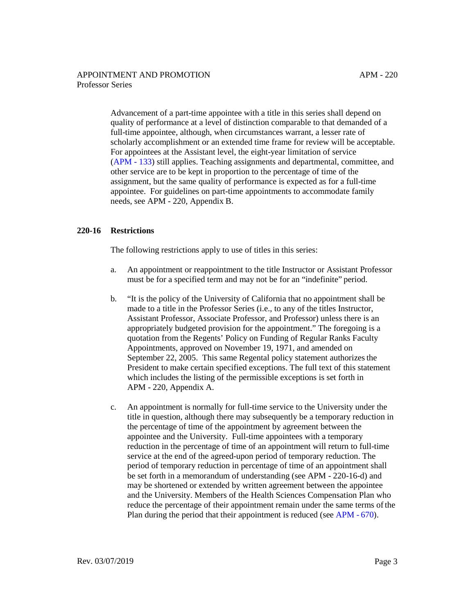Advancement of a part-time appointee with a title in this series shall depend on quality of performance at a level of distinction comparable to that demanded of a full-time appointee, although, when circumstances warrant, a lesser rate of scholarly accomplishment or an extended time frame for review will be acceptable. For appointees at the Assistant level, the eight-year limitation of service [\(APM - 133\)](http://ucop.edu/academic-personnel-programs/_files/apm/apm-133.pdf) still applies. Teaching assignments and departmental, committee, and other service are to be kept in proportion to the percentage of time of the assignment, but the same quality of performance is expected as for a full-time appointee. For guidelines on part-time appointments to accommodate family needs, see APM - 220, Appendix B.

## **220-16 Restrictions**

The following restrictions apply to use of titles in this series:

- a. An appointment or reappointment to the title Instructor or Assistant Professor must be for a specified term and may not be for an "indefinite" period.
- b. "It is the policy of the University of California that no appointment shall be made to a title in the Professor Series (i.e., to any of the titles Instructor, Assistant Professor, Associate Professor, and Professor) unless there is an appropriately budgeted provision for the appointment." The foregoing is a quotation from the Regents' Policy on Funding of Regular Ranks Faculty Appointments, approved on November 19, 1971, and amended on September 22, 2005. This same Regental policy statement authorizes the President to make certain specified exceptions. The full text of this statement which includes the listing of the permissible exceptions is set forth in APM - 220, Appendix A.
- c. An appointment is normally for full-time service to the University under the title in question, although there may subsequently be a temporary reduction in the percentage of time of the appointment by agreement between the appointee and the University. Full-time appointees with a temporary reduction in the percentage of time of an appointment will return to full-time service at the end of the agreed-upon period of temporary reduction. The period of temporary reduction in percentage of time of an appointment shall be set forth in a memorandum of understanding (see APM - 220-16-d) and may be shortened or extended by written agreement between the appointee and the University. Members of the Health Sciences Compensation Plan who reduce the percentage of their appointment remain under the same terms of the Plan during the period that their appointment is reduced (see [APM - 670\)](http://ucop.edu/academic-personnel-programs/_files/apm/apm-670.pdf).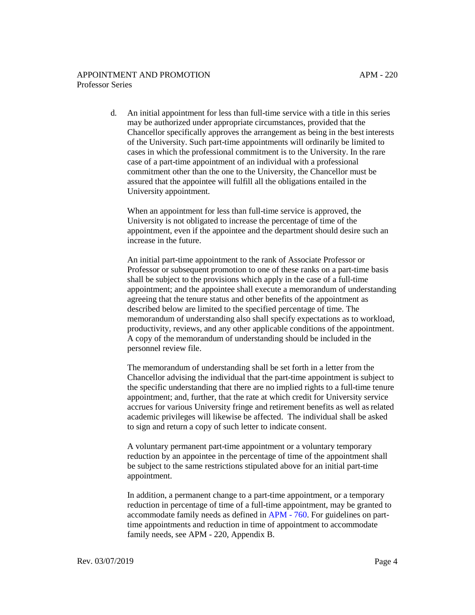d. An initial appointment for less than full-time service with a title in this series may be authorized under appropriate circumstances, provided that the Chancellor specifically approves the arrangement as being in the best interests of the University. Such part-time appointments will ordinarily be limited to cases in which the professional commitment is to the University. In the rare case of a part-time appointment of an individual with a professional commitment other than the one to the University, the Chancellor must be assured that the appointee will fulfill all the obligations entailed in the University appointment.

When an appointment for less than full-time service is approved, the University is not obligated to increase the percentage of time of the appointment, even if the appointee and the department should desire such an increase in the future.

An initial part-time appointment to the rank of Associate Professor or Professor or subsequent promotion to one of these ranks on a part-time basis shall be subject to the provisions which apply in the case of a full-time appointment; and the appointee shall execute a memorandum of understanding agreeing that the tenure status and other benefits of the appointment as described below are limited to the specified percentage of time. The memorandum of understanding also shall specify expectations as to workload, productivity, reviews, and any other applicable conditions of the appointment. A copy of the memorandum of understanding should be included in the personnel review file.

The memorandum of understanding shall be set forth in a letter from the Chancellor advising the individual that the part-time appointment is subject to the specific understanding that there are no implied rights to a full-time tenure appointment; and, further, that the rate at which credit for University service accrues for various University fringe and retirement benefits as well asrelated academic privileges will likewise be affected. The individual shall be asked to sign and return a copy of such letter to indicate consent.

A voluntary permanent part-time appointment or a voluntary temporary reduction by an appointee in the percentage of time of the appointment shall be subject to the same restrictions stipulated above for an initial part-time appointment.

In addition, a permanent change to a part-time appointment, or a temporary reduction in percentage of time of a full-time appointment, may be granted to accommodate family needs as defined in [APM - 760.](http://ucop.edu/academic-personnel-programs/_files/apm/apm-760.pdf) For guidelines on parttime appointments and reduction in time of appointment to accommodate family needs, see APM - 220, Appendix B.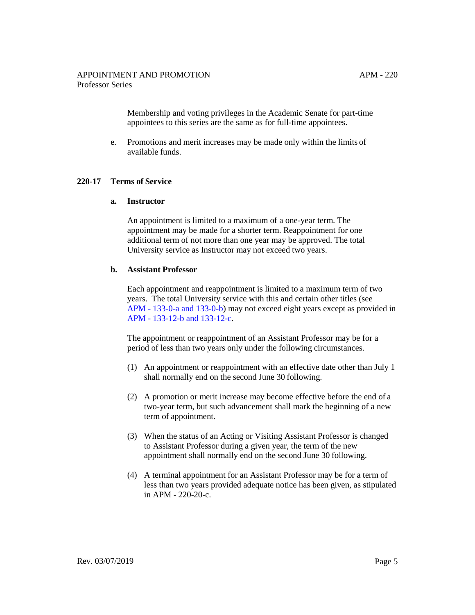Membership and voting privileges in the Academic Senate for part-time appointees to this series are the same as for full-time appointees.

e. Promotions and merit increases may be made only within the limits of available funds.

#### **220-17 Terms of Service**

#### **a. Instructor**

An appointment is limited to a maximum of a one-year term. The appointment may be made for a shorter term. Reappointment for one additional term of not more than one year may be approved. The total University service as Instructor may not exceed two years.

#### **b. Assistant Professor**

Each appointment and reappointment is limited to a maximum term of two years. The total University service with this and certain other titles (see [APM - 133-0-a and 133-0-b\)](http://www.ucop.edu/academic-personnel-programs/_files/apm/apm-133.pdf) may not exceed eight years except as provided in [APM - 133-12-b and 133-12-c.](http://ucop.edu/academic-personnel-programs/_files/apm/apm-133.pdf)

The appointment or reappointment of an Assistant Professor may be for a period of less than two years only under the following circumstances.

- (1) An appointment or reappointment with an effective date other than July 1 shall normally end on the second June 30 following.
- (2) A promotion or merit increase may become effective before the end of a two-year term, but such advancement shall mark the beginning of a new term of appointment.
- (3) When the status of an Acting or Visiting Assistant Professor is changed to Assistant Professor during a given year, the term of the new appointment shall normally end on the second June 30 following.
- (4) A terminal appointment for an Assistant Professor may be for a term of less than two years provided adequate notice has been given, as stipulated in APM - 220-20-c.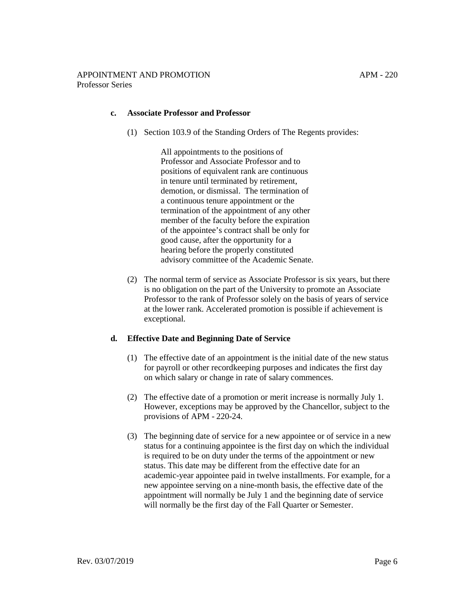### **c. Associate Professor and Professor**

(1) Section 103.9 of the Standing Orders of The Regents provides:

All appointments to the positions of Professor and Associate Professor and to positions of equivalent rank are continuous in tenure until terminated by retirement, demotion, or dismissal. The termination of a continuous tenure appointment or the termination of the appointment of any other member of the faculty before the expiration of the appointee's contract shall be only for good cause, after the opportunity for a hearing before the properly constituted advisory committee of the Academic Senate.

(2) The normal term of service as Associate Professor is six years, but there is no obligation on the part of the University to promote an Associate Professor to the rank of Professor solely on the basis of years of service at the lower rank. Accelerated promotion is possible if achievement is exceptional.

#### **d. Effective Date and Beginning Date of Service**

- (1) The effective date of an appointment is the initial date of the new status for payroll or other recordkeeping purposes and indicates the first day on which salary or change in rate of salary commences.
- (2) The effective date of a promotion or merit increase is normally July 1. However, exceptions may be approved by the Chancellor, subject to the provisions of APM - 220-24.
- (3) The beginning date of service for a new appointee or of service in a new status for a continuing appointee is the first day on which the individual is required to be on duty under the terms of the appointment or new status. This date may be different from the effective date for an academic-year appointee paid in twelve installments. For example, for a new appointee serving on a nine-month basis, the effective date of the appointment will normally be July 1 and the beginning date of service will normally be the first day of the Fall Quarter or Semester.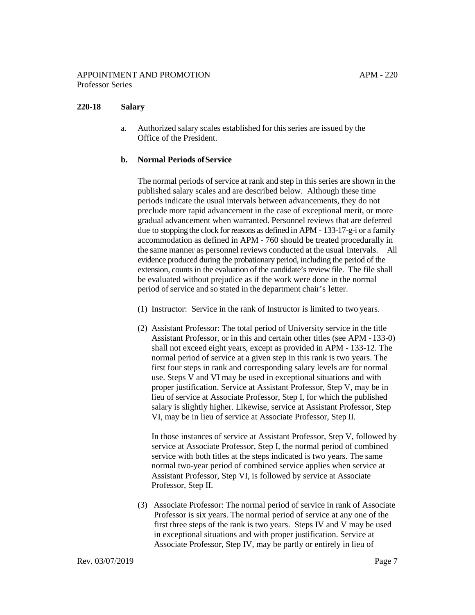## **220-18 Salary**

a. Authorized salary scales established for this series are issued by the Office of the President.

### **b. Normal Periods ofService**

The normal periods of service at rank and step in this series are shown in the published salary scales and are described below. Although these time periods indicate the usual intervals between advancements, they do not preclude more rapid advancement in the case of exceptional merit, or more gradual advancement when warranted. Personnel reviews that are deferred due to stopping the clock for reasons as defined in [APM - 133-17-g-i](http://www.ucop.edu/academic-personnel-programs/_files/apm/apm-133.pdf) or a family accommodation as defined in [APM - 760](http://www.ucop.edu/academic-personnel-programs/_files/apm/apm-760.pdf) should be treated procedurally in the same manner as personnel reviews conducted at the usual intervals. All evidence produced during the probationary period, including the period of the extension, counts in the evaluation of the candidate's review file. The file shall be evaluated without prejudice as if the work were done in the normal period of service and so stated in the department chair's letter.

- (1) Instructor: Service in the rank of Instructor is limited to two years.
- (2) Assistant Professor: The total period of University service in the title Assistant Professor, or in this and certain other titles [\(see APM - 133-0\)](http://www.ucop.edu/academic-personnel-programs/_files/apm/apm-133.pdf) shall not exceed eight years, except as provided in [APM - 133-12.](http://www.ucop.edu/academic-personnel-programs/_files/apm/apm-133.pdf) The normal period of service at a given step in this rank is two years. The first four steps in rank and corresponding salary levels are for normal use. Steps V and VI may be used in exceptional situations and with proper justification. Service at Assistant Professor, Step V, may be in lieu of service at Associate Professor, Step I, for which the published salary is slightly higher. Likewise, service at Assistant Professor, Step VI, may be in lieu of service at Associate Professor, Step II.

In those instances of service at Assistant Professor, Step V, followed by service at Associate Professor, Step I, the normal period of combined service with both titles at the steps indicated is two years. The same normal two-year period of combined service applies when service at Assistant Professor, Step VI, is followed by service at Associate Professor, Step II.

(3) Associate Professor: The normal period of service in rank of Associate Professor is six years. The normal period of service at any one of the first three steps of the rank is two years. Steps IV and V may be used in exceptional situations and with proper justification. Service at Associate Professor, Step IV, may be partly or entirely in lieu of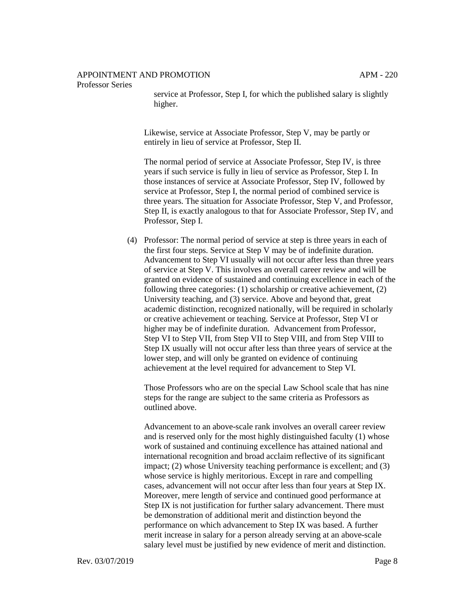#### Professor Series

service at Professor, Step I, for which the published salary is slightly higher.

Likewise, service at Associate Professor, Step V, may be partly or entirely in lieu of service at Professor, Step II.

The normal period of service at Associate Professor, Step IV, is three years if such service is fully in lieu of service as Professor, Step I. In those instances of service at Associate Professor, Step IV, followed by service at Professor, Step I, the normal period of combined service is three years. The situation for Associate Professor, Step V, and Professor, Step II, is exactly analogous to that for Associate Professor, Step IV, and Professor, Step I.

(4) Professor: The normal period of service at step is three years in each of the first four steps. Service at Step V may be of indefinite duration. Advancement to Step VI usually will not occur after less than three years of service at Step V. This involves an overall career review and will be granted on evidence of sustained and continuing excellence in each of the following three categories: (1) scholarship or creative achievement, (2) University teaching, and (3) service. Above and beyond that, great academic distinction, recognized nationally, will be required in scholarly or creative achievement or teaching. Service at Professor, Step VI or higher may be of indefinite duration. Advancement from Professor, Step VI to Step VII, from Step VII to Step VIII, and from Step VIII to Step IX usually will not occur after less than three years of service at the lower step, and will only be granted on evidence of continuing achievement at the level required for advancement to Step VI.

Those Professors who are on the special Law School scale that has nine steps for the range are subject to the same criteria as Professors as outlined above.

Advancement to an above-scale rank involves an overall career review and is reserved only for the most highly distinguished faculty (1) whose work of sustained and continuing excellence has attained national and international recognition and broad acclaim reflective of its significant impact; (2) whose University teaching performance is excellent; and (3) whose service is highly meritorious. Except in rare and compelling cases, advancement will not occur after less than four years at Step IX. Moreover, mere length of service and continued good performance at Step IX is not justification for further salary advancement. There must be demonstration of additional merit and distinction beyond the performance on which advancement to Step IX was based. A further merit increase in salary for a person already serving at an above-scale salary level must be justified by new evidence of merit and distinction.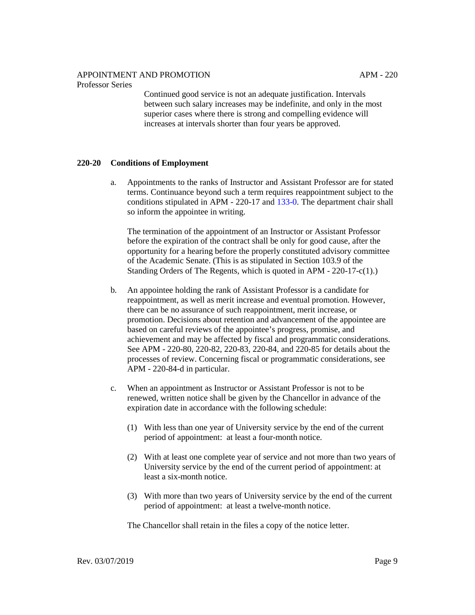### APPOINTMENT AND PROMOTION

#### Professor Series

Continued good service is not an adequate justification. Intervals between such salary increases may be indefinite, and only in the most superior cases where there is strong and compelling evidence will increases at intervals shorter than four years be approved.

## **220-20 Conditions of Employment**

a. Appointments to the ranks of Instructor and Assistant Professor are for stated terms. Continuance beyond such a term requires reappointment subject to the conditions stipulated in APM - 220-17 and [133-0.](http://ucop.edu/academic-personnel-programs/_files/apm/apm-133.pdf) The department chair shall so inform the appointee in writing.

The termination of the appointment of an Instructor or Assistant Professor before the expiration of the contract shall be only for good cause, after the opportunity for a hearing before the properly constituted advisory committee of the Academic Senate. (This is as stipulated in Section 103.9 of the Standing Orders of The Regents, which is quoted in APM - 220-17-c(1).)

- b. An appointee holding the rank of Assistant Professor is a candidate for reappointment, as well as merit increase and eventual promotion. However, there can be no assurance of such reappointment, merit increase, or promotion. Decisions about retention and advancement of the appointee are based on careful reviews of the appointee's progress, promise, and achievement and may be affected by fiscal and programmatic considerations. See APM - 220-80, 220-82, 220-83, 220-84, and 220-85 for details about the processes of review. Concerning fiscal or programmatic considerations, see APM - 220-84-d in particular.
- c. When an appointment as Instructor or Assistant Professor is not to be renewed, written notice shall be given by the Chancellor in advance of the expiration date in accordance with the following schedule:
	- (1) With less than one year of University service by the end of the current period of appointment: at least a four-month notice.
	- (2) With at least one complete year of service and not more than two years of University service by the end of the current period of appointment: at least a six-month notice.
	- (3) With more than two years of University service by the end of the current period of appointment: at least a twelve-month notice.

The Chancellor shall retain in the files a copy of the notice letter.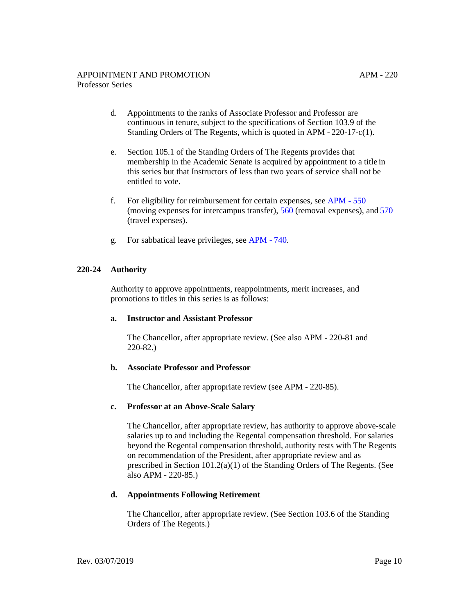- d. Appointments to the ranks of Associate Professor and Professor are continuous in tenure, subject to the specifications of Section 103.9 of the Standing Orders of The Regents, which is quoted in APM - 220-17-c(1).
- e. Section 105.1 of the Standing Orders of The Regents provides that membership in the Academic Senate is acquired by appointment to a title in this series but that Instructors of less than two years of service shall not be entitled to vote.
- f. For eligibility for reimbursement for certain expenses, see [APM 550](http://ucop.edu/academic-personnel-programs/_files/apm/apm-550.pdf) (moving expenses for intercampus transfer), [560](http://ucop.edu/academic-personnel-programs/_files/apm/apm-560.pdf) (removal expenses), and [570](http://ucop.edu/academic-personnel-programs/_files/apm/apm-570.pdf) (travel expenses).
- g. For sabbatical leave privileges, see [APM 740.](http://ucop.edu/academic-personnel-programs/_files/apm/apm-740.pdf)

## **220-24 Authority**

Authority to approve appointments, reappointments, merit increases, and promotions to titles in this series is as follows:

#### **a. Instructor and Assistant Professor**

The Chancellor, after appropriate review. (See also APM - 220-81 and 220-82.)

## **b. Associate Professor and Professor**

The Chancellor, after appropriate review (see APM - 220-85).

## **c. Professor at an Above-Scale Salary**

The Chancellor, after appropriate review, has authority to approve above-scale salaries up to and including the Regental compensation threshold. For salaries beyond the Regental compensation threshold, authority rests with The Regents on recommendation of the President, after appropriate review and as prescribed in Section 101.2(a)(1) of the Standing Orders of The Regents. (See also APM - 220-85.)

#### **d. Appointments Following Retirement**

The Chancellor, after appropriate review. (See Section 103.6 of the Standing Orders of The Regents.)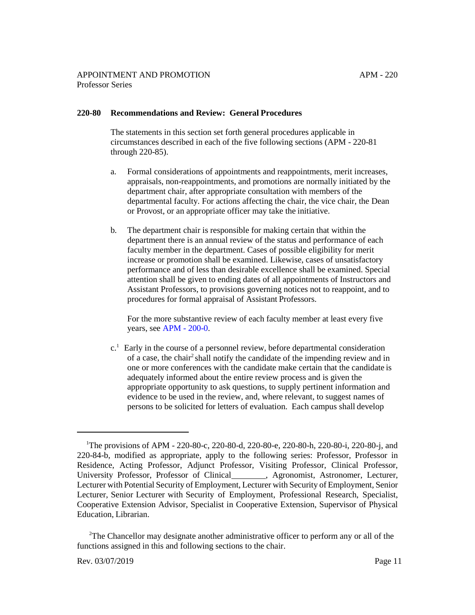## **220-80 Recommendations and Review: General Procedures**

The statements in this section set forth general procedures applicable in circumstances described in each of the five following sections (APM - 220-81 through 220-85).

- a. Formal considerations of appointments and reappointments, merit increases, appraisals, non-reappointments, and promotions are normally initiated by the department chair, after appropriate consultation with members of the departmental faculty. For actions affecting the chair, the vice chair, the Dean or Provost, or an appropriate officer may take the initiative.
- b. The department chair is responsible for making certain that within the department there is an annual review of the status and performance of each faculty member in the department. Cases of possible eligibility for merit increase or promotion shall be examined. Likewise, cases of unsatisfactory performance and of less than desirable excellence shall be examined. Special attention shall be given to ending dates of all appointments of Instructors and Assistant Professors, to provisions governing notices not to reappoint, and to procedures for formal appraisal of Assistant Professors.

For the more substantive review of each faculty member at least every five years, see [APM - 200-0.](http://ucop.edu/academic-personnel-programs/_files/apm/apm-200.pdf)

 $c<sup>1</sup>$  Early in the course of a personnel review, before departmental consideration of a case, the chair2 shall notify the candidate of the impending review and in one or more conferences with the candidate make certain that the candidate is adequately informed about the entire review process and is given the appropriate opportunity to ask questions, to supply pertinent information and evidence to be used in the review, and, where relevant, to suggest names of persons to be solicited for letters of evaluation. Each campus shall develop

 $2$ The Chancellor may designate another administrative officer to perform any or all of the functions assigned in this and following sections to the chair.

<sup>&</sup>lt;sup>1</sup>The provisions of APM - 220-80-c, 220-80-d, 220-80-e, 220-80-h, 220-80-i, 220-80-j, and 220-84-b, modified as appropriate, apply to the following series: Professor, Professor in Residence, Acting Professor, Adjunct Professor, Visiting Professor, Clinical Professor, University Professor, Professor of Clinical , Agronomist, Astronomer, Lecturer, Lecturer with Potential Security of Employment, Lecturer with Security of Employment, Senior Lecturer, Senior Lecturer with Security of Employment, Professional Research, Specialist, Cooperative Extension Advisor, Specialist in Cooperative Extension, Supervisor of Physical Education, Librarian.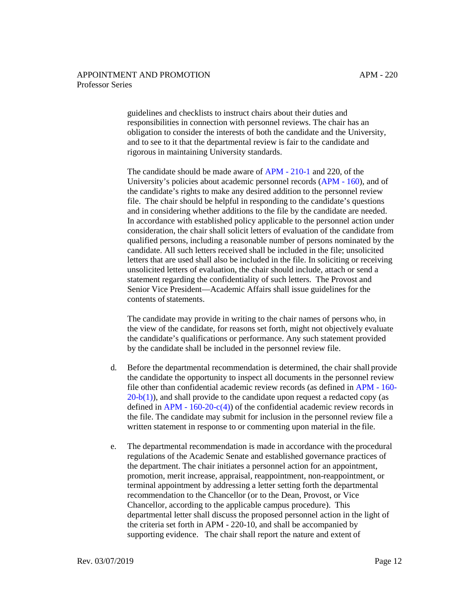guidelines and checklists to instruct chairs about their duties and responsibilities in connection with personnel reviews. The chair has an obligation to consider the interests of both the candidate and the University, and to see to it that the departmental review is fair to the candidate and rigorous in maintaining University standards.

The candidate should be made aware of [APM - 210-1](http://ucop.edu/academic-personnel-programs/_files/apm/apm-210.pdf) and 220, of the University's policies about academic personnel records [\(APM - 160\)](http://ucop.edu/academic-personnel-programs/_files/apm/apm-160.pdf), and of the candidate's rights to make any desired addition to the personnel review file. The chair should be helpful in responding to the candidate's questions and in considering whether additions to the file by the candidate are needed. In accordance with established policy applicable to the personnel action under consideration, the chair shall solicit letters of evaluation of the candidate from qualified persons, including a reasonable number of persons nominated by the candidate. All such letters received shall be included in the file; unsolicited letters that are used shall also be included in the file. In soliciting or receiving unsolicited letters of evaluation, the chair should include, attach or send a statement regarding the confidentiality of such letters. The Provost and Senior Vice President—Academic Affairs shall issue guidelines for the contents of statements.

The candidate may provide in writing to the chair names of persons who, in the view of the candidate, for reasons set forth, might not objectively evaluate the candidate's qualifications or performance. Any such statement provided by the candidate shall be included in the personnel review file.

- d. Before the departmental recommendation is determined, the chair shall provide the candidate the opportunity to inspect all documents in the personnel review file other than confidential academic review records (as defined in [APM - 160-](http://ucop.edu/academic-personnel-programs/_files/apm/apm-160.pdf)  $20-b(1)$ ), and shall provide to the candidate upon request a redacted copy (as defined in  $APM - 160-20-c(4)$  of the confidential academic review records in the file. The candidate may submit for inclusion in the personnel review file a written statement in response to or commenting upon material in the file.
- e. The departmental recommendation is made in accordance with the procedural regulations of the Academic Senate and established governance practices of the department. The chair initiates a personnel action for an appointment, promotion, merit increase, appraisal, reappointment, non-reappointment, or terminal appointment by addressing a letter setting forth the departmental recommendation to the Chancellor (or to the Dean, Provost, or Vice Chancellor, according to the applicable campus procedure). This departmental letter shall discuss the proposed personnel action in the light of the criteria set forth in APM - 220-10, and shall be accompanied by supporting evidence. The chair shall report the nature and extent of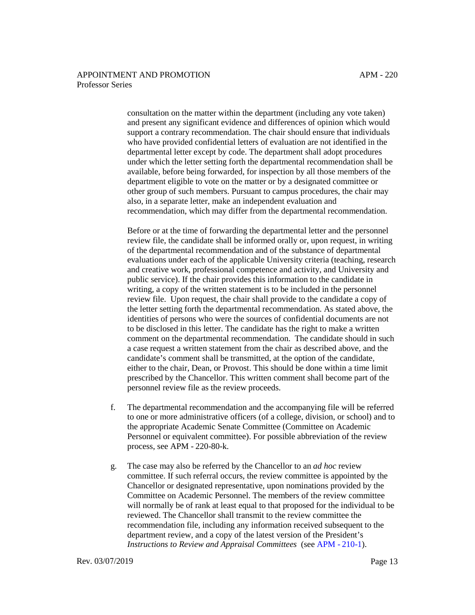consultation on the matter within the department (including any vote taken) and present any significant evidence and differences of opinion which would support a contrary recommendation. The chair should ensure that individuals who have provided confidential letters of evaluation are not identified in the departmental letter except by code. The department shall adopt procedures under which the letter setting forth the departmental recommendation shall be available, before being forwarded, for inspection by all those members of the department eligible to vote on the matter or by a designated committee or other group of such members. Pursuant to campus procedures, the chair may also, in a separate letter, make an independent evaluation and recommendation, which may differ from the departmental recommendation.

Before or at the time of forwarding the departmental letter and the personnel review file, the candidate shall be informed orally or, upon request, in writing of the departmental recommendation and of the substance of departmental evaluations under each of the applicable University criteria (teaching, research and creative work, professional competence and activity, and University and public service). If the chair provides this information to the candidate in writing, a copy of the written statement is to be included in the personnel review file. Upon request, the chair shall provide to the candidate a copy of the letter setting forth the departmental recommendation. As stated above, the identities of persons who were the sources of confidential documents are not to be disclosed in this letter. The candidate has the right to make a written comment on the departmental recommendation. The candidate should in such a case request a written statement from the chair as described above, and the candidate's comment shall be transmitted, at the option of the candidate, either to the chair, Dean, or Provost. This should be done within a time limit prescribed by the Chancellor. This written comment shall become part of the personnel review file as the review proceeds.

- f. The departmental recommendation and the accompanying file will be referred to one or more administrative officers (of a college, division, or school) and to the appropriate Academic Senate Committee (Committee on Academic Personnel or equivalent committee). For possible abbreviation of the review process, see APM - 220-80-k.
- g. The case may also be referred by the Chancellor to an *ad hoc* review committee. If such referral occurs, the review committee is appointed by the Chancellor or designated representative, upon nominations provided by the Committee on Academic Personnel. The members of the review committee will normally be of rank at least equal to that proposed for the individual to be reviewed. The Chancellor shall transmit to the review committee the recommendation file, including any information received subsequent to the department review, and a copy of the latest version of the President's *Instructions to Review and Appraisal Committees* (see [APM - 210-1\).](http://ucop.edu/academic-personnel-programs/_files/apm/apm-210.pdf)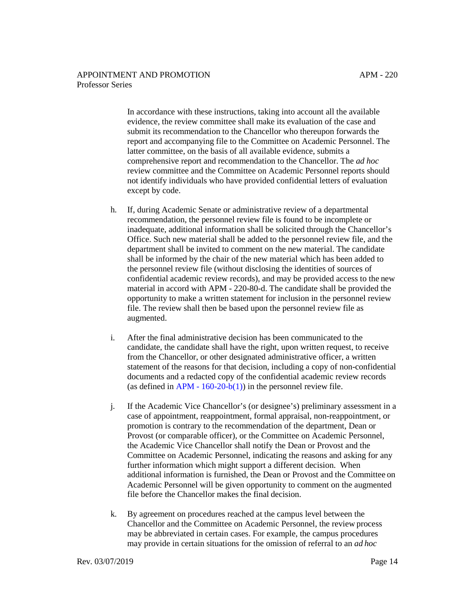APM - 220

In accordance with these instructions, taking into account all the available evidence, the review committee shall make its evaluation of the case and submit its recommendation to the Chancellor who thereupon forwards the report and accompanying file to the Committee on Academic Personnel. The latter committee, on the basis of all available evidence, submits a comprehensive report and recommendation to the Chancellor. The *ad hoc*  review committee and the Committee on Academic Personnel reports should not identify individuals who have provided confidential letters of evaluation except by code.

- h. If, during Academic Senate or administrative review of a departmental recommendation, the personnel review file is found to be incomplete or inadequate, additional information shall be solicited through the Chancellor's Office. Such new material shall be added to the personnel review file, and the department shall be invited to comment on the new material. The candidate shall be informed by the chair of the new material which has been added to the personnel review file (without disclosing the identities of sources of confidential academic review records), and may be provided access to the new material in accord with APM - 220-80-d. The candidate shall be provided the opportunity to make a written statement for inclusion in the personnel review file. The review shall then be based upon the personnel review file as augmented.
- i. After the final administrative decision has been communicated to the candidate, the candidate shall have the right, upon written request, to receive from the Chancellor, or other designated administrative officer, a written statement of the reasons for that decision, including a copy of non-confidential documents and a redacted copy of the confidential academic review records (as defined in  $APM - 160-20-b(1)$ ) in the personnel review file.
- j. If the Academic Vice Chancellor's (or designee's) preliminary assessment in a case of appointment, reappointment, formal appraisal, non-reappointment, or promotion is contrary to the recommendation of the department, Dean or Provost (or comparable officer), or the Committee on Academic Personnel, the Academic Vice Chancellor shall notify the Dean or Provost and the Committee on Academic Personnel, indicating the reasons and asking for any further information which might support a different decision. When additional information is furnished, the Dean or Provost and the Committee on Academic Personnel will be given opportunity to comment on the augmented file before the Chancellor makes the final decision.
- k. By agreement on procedures reached at the campus level between the Chancellor and the Committee on Academic Personnel, the review process may be abbreviated in certain cases. For example, the campus procedures may provide in certain situations for the omission of referral to an *ad hoc*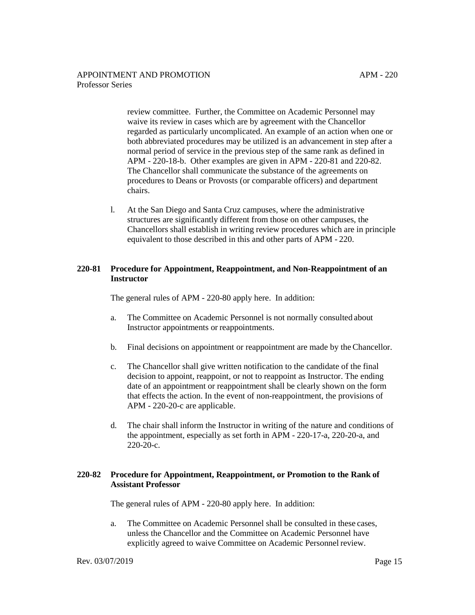review committee. Further, the Committee on Academic Personnel may waive its review in cases which are by agreement with the Chancellor regarded as particularly uncomplicated. An example of an action when one or both abbreviated procedures may be utilized is an advancement in step after a normal period of service in the previous step of the same rank as defined in APM - 220-18-b. Other examples are given in APM - 220-81 and 220-82. The Chancellor shall communicate the substance of the agreements on procedures to Deans or Provosts (or comparable officers) and department chairs.

l. At the San Diego and Santa Cruz campuses, where the administrative structures are significantly different from those on other campuses, the Chancellors shall establish in writing review procedures which are in principle equivalent to those described in this and other parts of APM - 220.

## **220-81 Procedure for Appointment, Reappointment, and Non-Reappointment of an Instructor**

The general rules of APM - 220-80 apply here. In addition:

- a. The Committee on Academic Personnel is not normally consulted about Instructor appointments or reappointments.
- b. Final decisions on appointment or reappointment are made by the Chancellor.
- c. The Chancellor shall give written notification to the candidate of the final decision to appoint, reappoint, or not to reappoint as Instructor. The ending date of an appointment or reappointment shall be clearly shown on the form that effects the action. In the event of non-reappointment, the provisions of APM - 220-20-c are applicable.
- d. The chair shall inform the Instructor in writing of the nature and conditions of the appointment, especially as set forth in APM - 220-17-a, 220-20-a, and 220-20-c.

### **220-82 Procedure for Appointment, Reappointment, or Promotion to the Rank of Assistant Professor**

The general rules of APM - 220-80 apply here. In addition:

a. The Committee on Academic Personnel shall be consulted in these cases, unless the Chancellor and the Committee on Academic Personnel have explicitly agreed to waive Committee on Academic Personnel review.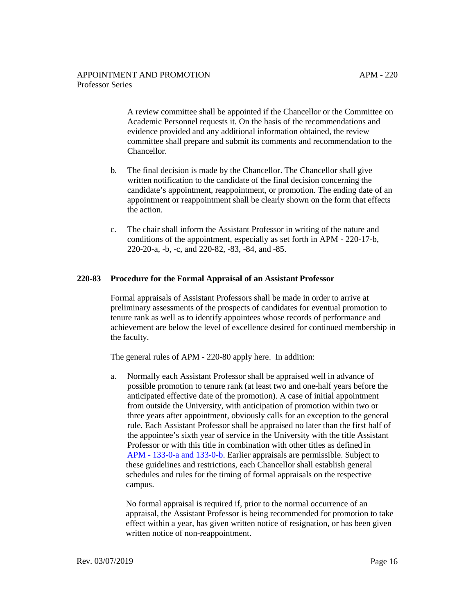A review committee shall be appointed if the Chancellor or the Committee on Academic Personnel requests it. On the basis of the recommendations and evidence provided and any additional information obtained, the review committee shall prepare and submit its comments and recommendation to the Chancellor.

- b. The final decision is made by the Chancellor. The Chancellor shall give written notification to the candidate of the final decision concerning the candidate's appointment, reappointment, or promotion. The ending date of an appointment or reappointment shall be clearly shown on the form that effects the action.
- c. The chair shall inform the Assistant Professor in writing of the nature and conditions of the appointment, especially as set forth in APM - 220-17-b, 220-20-a, -b, -c, and 220-82, -83, -84, and -85.

## **220-83 Procedure for the Formal Appraisal of an Assistant Professor**

Formal appraisals of Assistant Professors shall be made in order to arrive at preliminary assessments of the prospects of candidates for eventual promotion to tenure rank as well as to identify appointees whose records of performance and achievement are below the level of excellence desired for continued membership in the faculty.

The general rules of APM - 220-80 apply here. In addition:

a. Normally each Assistant Professor shall be appraised well in advance of possible promotion to tenure rank (at least two and one-half years before the anticipated effective date of the promotion). A case of initial appointment from outside the University, with anticipation of promotion within two or three years after appointment, obviously calls for an exception to the general rule. Each Assistant Professor shall be appraised no later than the first half of the appointee's sixth year of service in the University with the title Assistant Professor or with this title in combination with other titles as defined in [APM - 133-0-a and 133-0-b.](http://ucop.edu/academic-personnel-programs/_files/apm/apm-133.pdf) Earlier appraisals are permissible. Subject to these guidelines and restrictions, each Chancellor shall establish general schedules and rules for the timing of formal appraisals on the respective campus.

No formal appraisal is required if, prior to the normal occurrence of an appraisal, the Assistant Professor is being recommended for promotion to take effect within a year, has given written notice of resignation, or has been given written notice of non-reappointment.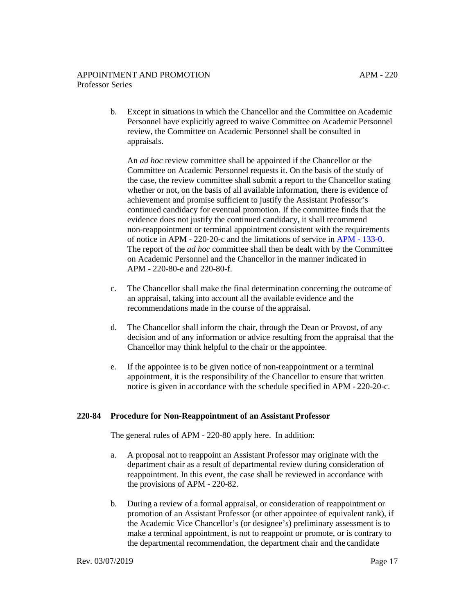b. Except in situations in which the Chancellor and the Committee on Academic Personnel have explicitly agreed to waive Committee on Academic Personnel review, the Committee on Academic Personnel shall be consulted in appraisals.

An *ad hoc* review committee shall be appointed if the Chancellor or the Committee on Academic Personnel requests it. On the basis of the study of the case, the review committee shall submit a report to the Chancellor stating whether or not, on the basis of all available information, there is evidence of achievement and promise sufficient to justify the Assistant Professor's continued candidacy for eventual promotion. If the committee finds that the evidence does not justify the continued candidacy, it shall recommend non-reappointment or terminal appointment consistent with the requirements of notice in APM - 220-20-c and the limitations of service in [APM - 133-0.](http://ucop.edu/academic-personnel-programs/_files/apm/apm-133.pdf) The report of the *ad hoc* committee shall then be dealt with by the Committee on Academic Personnel and the Chancellor in the manner indicated in APM - 220-80-e and 220-80-f.

- c. The Chancellor shall make the final determination concerning the outcome of an appraisal, taking into account all the available evidence and the recommendations made in the course of the appraisal.
- d. The Chancellor shall inform the chair, through the Dean or Provost, of any decision and of any information or advice resulting from the appraisal that the Chancellor may think helpful to the chair or the appointee.
- e. If the appointee is to be given notice of non-reappointment or a terminal appointment, it is the responsibility of the Chancellor to ensure that written notice is given in accordance with the schedule specified in APM - 220-20-c.

## **220-84 Procedure for Non-Reappointment of an Assistant Professor**

The general rules of APM - 220-80 apply here. In addition:

- a. A proposal not to reappoint an Assistant Professor may originate with the department chair as a result of departmental review during consideration of reappointment. In this event, the case shall be reviewed in accordance with the provisions of APM - 220-82.
- b. During a review of a formal appraisal, or consideration of reappointment or promotion of an Assistant Professor (or other appointee of equivalent rank), if the Academic Vice Chancellor's (or designee's) preliminary assessment is to make a terminal appointment, is not to reappoint or promote, or is contrary to the departmental recommendation, the department chair and the candidate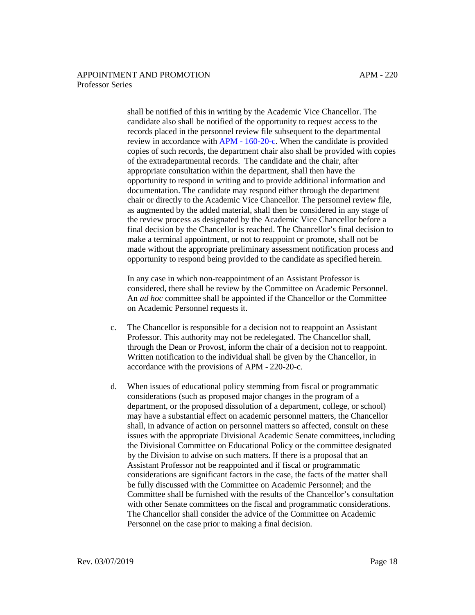shall be notified of this in writing by the Academic Vice Chancellor. The candidate also shall be notified of the opportunity to request access to the records placed in the personnel review file subsequent to the departmental review in accordance wit[h APM - 160-20-c.](http://ucop.edu/academic-personnel-programs/_files/apm/apm-160.pdf) When the candidate is provided copies of such records, the department chair also shall be provided with copies of the extradepartmental records. The candidate and the chair, after appropriate consultation within the department, shall then have the opportunity to respond in writing and to provide additional information and documentation. The candidate may respond either through the department chair or directly to the Academic Vice Chancellor. The personnel review file, as augmented by the added material, shall then be considered in any stage of the review process as designated by the Academic Vice Chancellor before a final decision by the Chancellor is reached. The Chancellor's final decision to make a terminal appointment, or not to reappoint or promote, shall not be made without the appropriate preliminary assessment notification process and opportunity to respond being provided to the candidate as specified herein.

In any case in which non-reappointment of an Assistant Professor is considered, there shall be review by the Committee on Academic Personnel. An *ad hoc* committee shall be appointed if the Chancellor or the Committee on Academic Personnel requests it.

- c. The Chancellor is responsible for a decision not to reappoint an Assistant Professor. This authority may not be redelegated. The Chancellor shall, through the Dean or Provost, inform the chair of a decision not to reappoint. Written notification to the individual shall be given by the Chancellor, in accordance with the provisions of APM - 220-20-c.
- d. When issues of educational policy stemming from fiscal or programmatic considerations (such as proposed major changes in the program of a department, or the proposed dissolution of a department, college, or school) may have a substantial effect on academic personnel matters, the Chancellor shall, in advance of action on personnel matters so affected, consult on these issues with the appropriate Divisional Academic Senate committees, including the Divisional Committee on Educational Policy or the committee designated by the Division to advise on such matters. If there is a proposal that an Assistant Professor not be reappointed and if fiscal or programmatic considerations are significant factors in the case, the facts of the matter shall be fully discussed with the Committee on Academic Personnel; and the Committee shall be furnished with the results of the Chancellor's consultation with other Senate committees on the fiscal and programmatic considerations. The Chancellor shall consider the advice of the Committee on Academic Personnel on the case prior to making a final decision.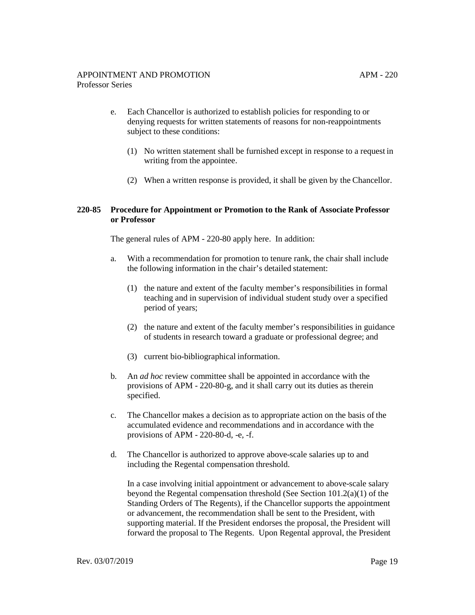- e. Each Chancellor is authorized to establish policies for responding to or denying requests for written statements of reasons for non-reappointments subject to these conditions:
	- (1) No written statement shall be furnished except in response to a request in writing from the appointee.
	- (2) When a written response is provided, it shall be given by the Chancellor.

## **220-85 Procedure for Appointment or Promotion to the Rank of Associate Professor or Professor**

The general rules of APM - 220-80 apply here. In addition:

- a. With a recommendation for promotion to tenure rank, the chair shall include the following information in the chair's detailed statement:
	- (1) the nature and extent of the faculty member's responsibilities in formal teaching and in supervision of individual student study over a specified period of years;
	- (2) the nature and extent of the faculty member's responsibilities in guidance of students in research toward a graduate or professional degree; and
	- (3) current bio-bibliographical information.
- b. An *ad hoc* review committee shall be appointed in accordance with the provisions of APM - 220-80-g, and it shall carry out its duties as therein specified.
- c. The Chancellor makes a decision as to appropriate action on the basis of the accumulated evidence and recommendations and in accordance with the provisions of APM - 220-80-d, -e, -f.
- d. The Chancellor is authorized to approve above-scale salaries up to and including the Regental compensation threshold.

In a case involving initial appointment or advancement to above-scale salary beyond the Regental compensation threshold (See Section 101.2(a)(1) of the Standing Orders of The Regents), if the Chancellor supports the appointment or advancement, the recommendation shall be sent to the President, with supporting material. If the President endorses the proposal, the President will forward the proposal to The Regents. Upon Regental approval, the President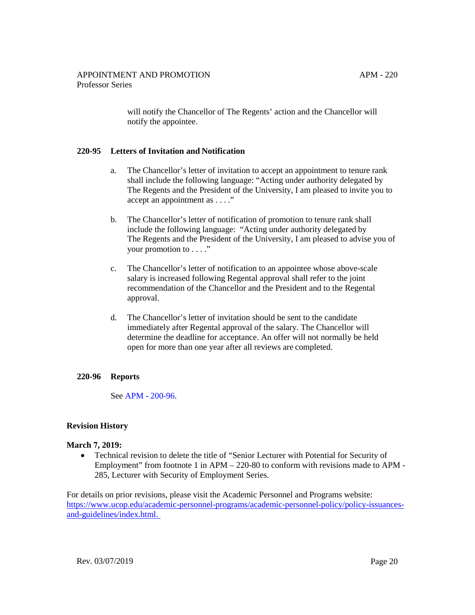APM - 220

will notify the Chancellor of The Regents' action and the Chancellor will notify the appointee.

## **220-95 Letters of Invitation and Notification**

- a. The Chancellor's letter of invitation to accept an appointment to tenure rank shall include the following language: "Acting under authority delegated by The Regents and the President of the University, I am pleased to invite you to accept an appointment as . . . ."
- b. The Chancellor's letter of notification of promotion to tenure rank shall include the following language: "Acting under authority delegated by The Regents and the President of the University, I am pleased to advise you of your promotion to . . . ."
- c. The Chancellor's letter of notification to an appointee whose above-scale salary is increased following Regental approval shall refer to the joint recommendation of the Chancellor and the President and to the Regental approval.
- d. The Chancellor's letter of invitation should be sent to the candidate immediately after Regental approval of the salary. The Chancellor will determine the deadline for acceptance. An offer will not normally be held open for more than one year after all reviews are completed.

## **220-96 Reports**

See [APM - 200-96.](http://ucop.edu/academic-personnel-programs/_files/apm/apm-200.pdf)

## **Revision History**

#### **March 7, 2019:**

• Technical revision to delete the title of "Senior Lecturer with Potential for Security of Employment" from footnote 1 in APM – 220-80 to conform with revisions made to APM - 285, Lecturer with Security of Employment Series.

For details on prior revisions, please visit the Academic Personnel and Programs website: [https://www.ucop.edu/academic-personnel-programs/academic-personnel-policy/policy-issuances](https://www.ucop.edu/academic-personnel-programs/academic-personnel-policy/policy-issuances-and-guidelines/index.html)[and-guidelines/index.html.](https://www.ucop.edu/academic-personnel-programs/academic-personnel-policy/policy-issuances-and-guidelines/index.html)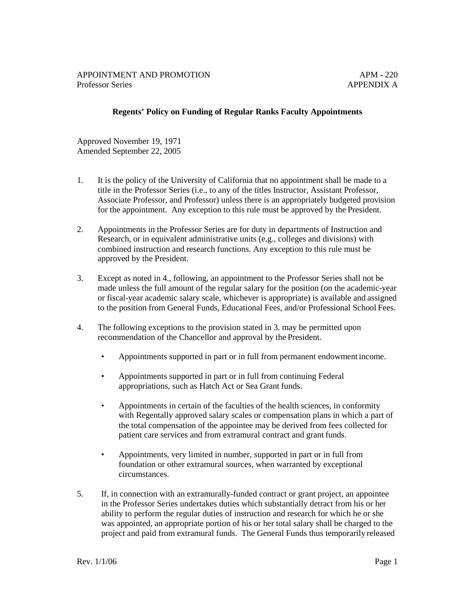## **Regents' Policy on Funding of Regular Ranks Faculty Appointments**

Approved November 19, 1971 Amended September 22, 2005

- 1. It is the policy of the University of California that no appointment shall be made to a title in the Professor Series (i.e., to any of the titles Instructor, Assistant Professor, Associate Professor, and Professor) unless there is an appropriately budgeted provision for the appointment. Any exception to this rule must be approved by the President.
- 2. Appointments in the Professor Series are for duty in departments of Instruction and Research, or in equivalent administrative units (e.g., colleges and divisions) with combined instruction and research functions. Any exception to this rule must be approved by the President.
- 3. Except as noted in 4., following, an appointment to the Professor Series shall not be made unless the full amount of the regular salary for the position (on the academic-year or fiscal-year academic salary scale, whichever is appropriate) is available and assigned to the position from General Funds, Educational Fees, and/or Professional School Fees.
- 4. The following exceptions to the provision stated in 3. may be permitted upon recommendation of the Chancellor and approval by the President.
	- Appointments supported in part or in full from permanent endowment income.
	- Appointments supported in part or in full from continuing Federal appropriations, such as Hatch Act or Sea Grant funds.
	- Appointments in certain of the faculties of the health sciences, in conformity with Regentally approved salary scales or compensation plans in which a part of the total compensation of the appointee may be derived from fees collected for patient care services and from extramural contract and grant funds.
	- Appointments, very limited in number, supported in part or in full from foundation or other extramural sources, when warranted by exceptional circumstances.
- 5. If, in connection with an extramurally-funded contract or grant project, an appointee in the Professor Series undertakes duties which substantially detract from his or her ability to perform the regular duties of instruction and research for which he or she was appointed, an appropriate portion of his or her total salary shall be charged to the project and paid from extramural funds. The General Funds thus temporarily released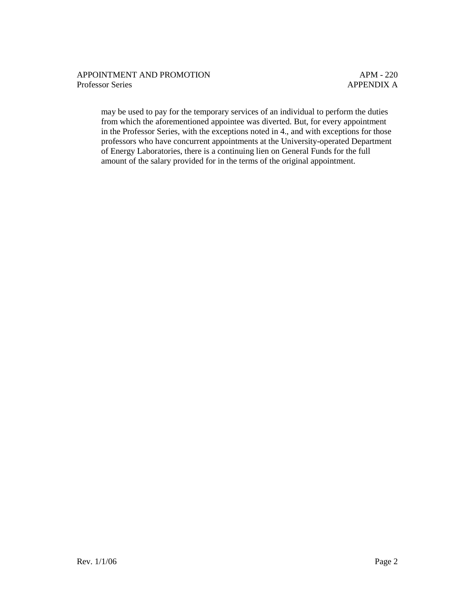may be used to pay for the temporary services of an individual to perform the duties from which the aforementioned appointee was diverted. But, for every appointment in the Professor Series, with the exceptions noted in 4., and with exceptions for those professors who have concurrent appointments at the University-operated Department of Energy Laboratories, there is a continuing lien on General Funds for the full amount of the salary provided for in the terms of the original appointment.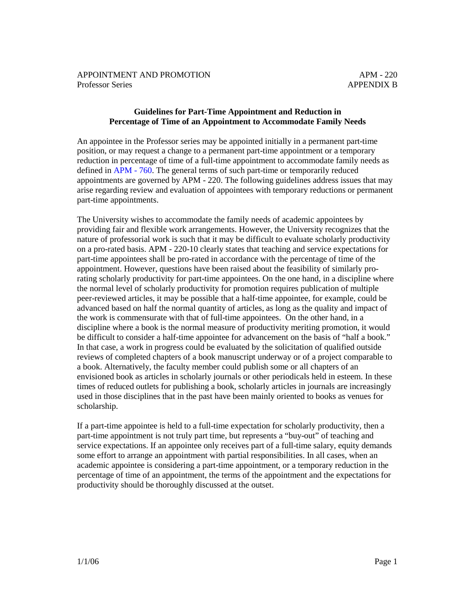## **Guidelines for Part-Time Appointment and Reduction in Percentage of Time of an Appointment to Accommodate Family Needs**

An appointee in the Professor series may be appointed initially in a permanent part-time position, or may request a change to a permanent part-time appointment or a temporary reduction in percentage of time of a full-time appointment to accommodate family needs as defined in [APM -](http://ucop.edu/academic-personnel-programs/_files/apm/apm-760.pdf) 760. The general terms of such part-time or temporarily reduced appointments are governed by APM - 220. The following guidelines address issues that may arise regarding review and evaluation of appointees with temporary reductions or permanent part-time appointments.

The University wishes to accommodate the family needs of academic appointees by providing fair and flexible work arrangements. However, the University recognizes that the nature of professorial work is such that it may be difficult to evaluate scholarly productivity on a pro-rated basis. APM - 220-10 clearly states that teaching and service expectations for part-time appointees shall be pro-rated in accordance with the percentage of time of the appointment. However, questions have been raised about the feasibility of similarly prorating scholarly productivity for part-time appointees. On the one hand, in a discipline where the normal level of scholarly productivity for promotion requires publication of multiple peer-reviewed articles, it may be possible that a half-time appointee, for example, could be advanced based on half the normal quantity of articles, as long as the quality and impact of the work is commensurate with that of full-time appointees. On the other hand, in a discipline where a book is the normal measure of productivity meriting promotion, it would be difficult to consider a half-time appointee for advancement on the basis of "half a book." In that case, a work in progress could be evaluated by the solicitation of qualified outside reviews of completed chapters of a book manuscript underway or of a project comparable to a book. Alternatively, the faculty member could publish some or all chapters of an envisioned book as articles in scholarly journals or other periodicals held in esteem. In these times of reduced outlets for publishing a book, scholarly articles in journals are increasingly used in those disciplines that in the past have been mainly oriented to books as venues for scholarship.

If a part-time appointee is held to a full-time expectation for scholarly productivity, then a part-time appointment is not truly part time, but represents a "buy-out" of teaching and service expectations. If an appointee only receives part of a full-time salary, equity demands some effort to arrange an appointment with partial responsibilities. In all cases, when an academic appointee is considering a part-time appointment, or a temporary reduction in the percentage of time of an appointment, the terms of the appointment and the expectations for productivity should be thoroughly discussed at the outset.